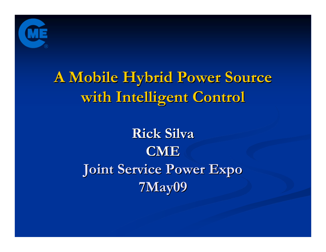

# **A Mobile Hybrid Power Source A Mobile Hybrid Power Source with Intelligent Control**

# **Rick Silva CMEJoint Service Power Expo Joint Service Power Expo 7May09**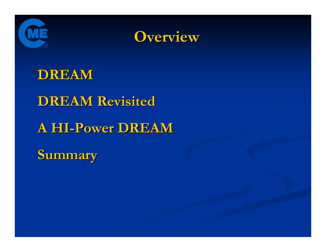



### **DREAM**

### **DREAM Revisited DREAM Revisited**

## **A HI-Power DREAM Power DREAM**

**Summary Summary**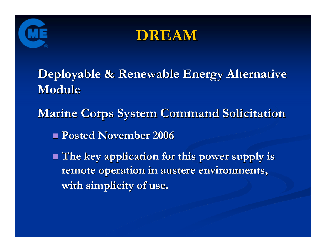



**Deployable & Renewable Energy Alternative Deployable & Renewable Energy Alternative Module**

**Marine Corps System Command Solicitation** 

**Posted November 2006 Posted November 2006**

 **The key application for this power supply is The key application for this power supply is remote operation in austere environments, remote operation in austere environments, with simplicity of use. with simplicity of use.**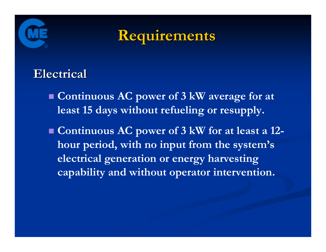



### **Electrical Electrical**

 **Continuous AC power of 3 kW average for at least 15 days without refueling or resupply.**

 **Continuous AC power of 3 kW for at least a 12 hour period, with no input from the system's electrical generation or energy harvesting capability and without operator intervention.**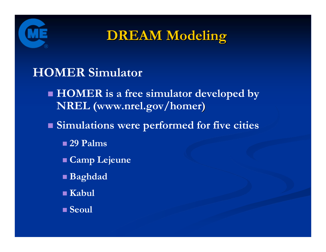

**DREAM Modeling DREAM Modeling**

### **HOMER Simulator**

 **HOMER is a free simulator developed by NREL (www.nrel.gov/homer )**

**Simulations were performed for five cities**

**29 Palms**

**Camp Lejeune**

**Baghdad**

**Kabul**

**Seoul**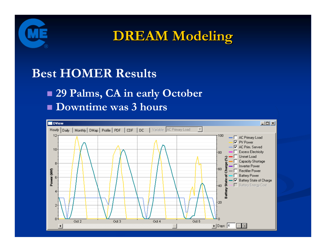

**DREAM Modeling DREAM Modeling**

### **Best HOMER Results**

### **29 Palms, CA in early October Downtime was 3 hours**

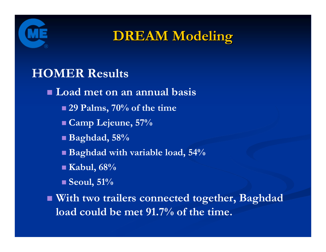

**DREAM Modeling DREAM Modeling**

### **HOMER Results**

**Load met on an annual basis**

- **29 Palms, 70% of the time**
- **Camp Lejeune, 57%**
- **Baghdad, 58%**
- **Baghdad with variable load, 54%**
- **Kabul, 68%**
- **Seoul, 51%**

 **With two trailers connected together, Baghdad load could be met 91.7% of the time.**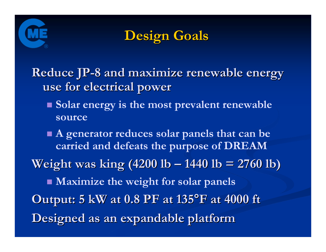



**Reduce JP-8 and maximize renewable energy use for electrical power use for electrical power**

 **Solar energy is the most prevalent renewable source**

 **A generator reduces solar panels that can be carried and defeats the purpose of DREAM Weight was king (4200 lb – 1440 lb = 2760 lb) Maximize the weight for solar panels Output: 5 kW at 0.8 PF at 135°F at 4000 ft Designed as an expandable platform Designed as an expandable platform**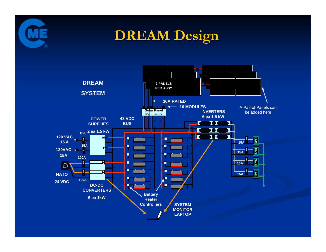

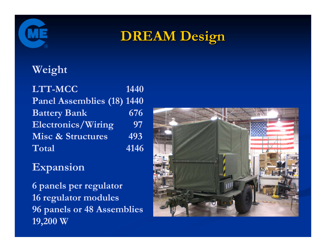

#### **Weight**

**LTT-MCC 1440 Panel Assemblies (18) 1440 Battery Bank** 676 **Electronics/Wiring <sup>97</sup> Misc & Structures** 493 **Total4146**

#### **Expansion**

**6 panels per regulator 16 regulator modules 96 panels or 48 Assemblies 19,200 W**

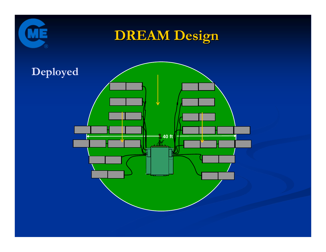

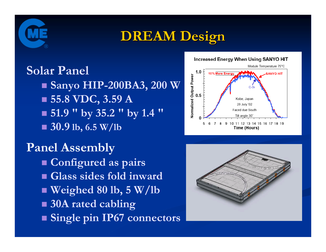

# **Solar Panel**

 **Sanyo HIP-200BA3, 200 W 55.8 VDC, 3.59 A 51.9 " by 35.2 " by 1.4 "** ■ 30.9 <sup>lb</sup>, 6.5 W/lb

### **Panel Assembly**

- **Configured as pairs**
- **Glass sides fold inward**
- **Weighed 80 lb, 5 W/lb**
- **30A rated cabling**
- **Single pin IP67 connectors**



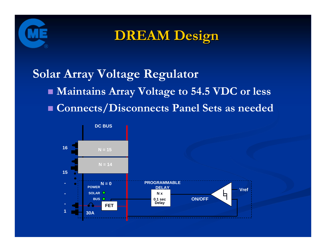

## **Solar Array Voltage Regulator Maintains Array Voltage to 54.5 VDC or less Connects/Disconnects Panel Sets as needed**

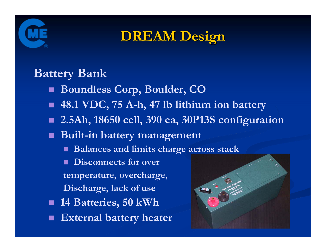

### **Battery Bank**

- **Boundless Corp, Boulder, CO**
- **48.1 VDC, 75 A-h, 47 lb lithium ion battery**
- **2.5Ah, 18650 cell, 390 ea, 30P13S configuration**
- **Built-in battery management**
	- **Balances and limits charge across stack**
	- **Disconnects for over**
	- **temperature, overcharge,**
	- **Discharge, lack of use**
- **14 Batteries, 50 kWh**
- **External battery heater**

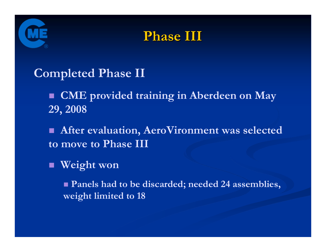



### **Completed Phase II**

 **CME provided training in Aberdeen on May 29, 2008**

 $\blacksquare$  **After evaluation, AeroVironment was selected to move to Phase III**

#### **Weight won**

 **Panels had to be discarded; needed 24 assemblies, weight limited to 18**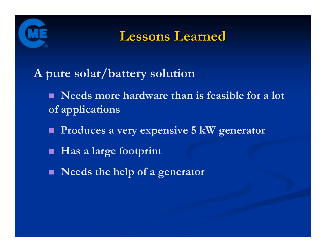

**Lessons Learned Lessons Learned**

- **A pure solar/battery solution** 
	- Needs more hardware than is feasible for a lot **of applications**
	- **Produces a very expensive 5 kW generator**
	- $\blacksquare$ **Has a large footprint**
	- **Needs the help of a generator**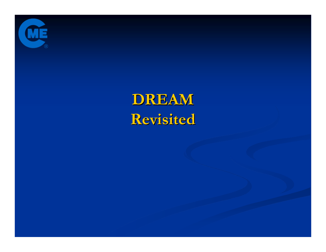

# **DREAM Revisited Revisited**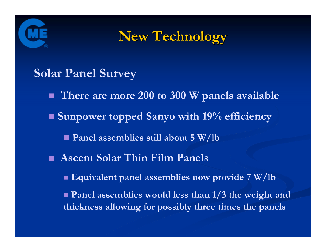



### **Solar Panel Survey**

- **There are more 200 to 300 W panels available**
- **Sunpower topped Sanyo with 19% efficiency** 
	- **Panel assemblies still about 5 W/lb**
- **Ascent Solar Thin Film Panels**
	- **Equivalent panel assemblies now provide 7 W/lb**
	- **Panel assemblies would less than 1/3 the weight and thickness allowing for possibly three times the panels**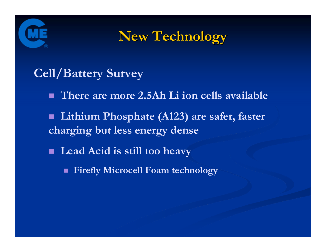



### **Cell/Battery Survey**

- **There are more 2.5Ah Li ion cells available**
- **Lithium Phosphate (A123) are safer, faster charging but less energy dense**
- **Lead Acid is still too heavy**
	- **Firefly Microcell Foam technology**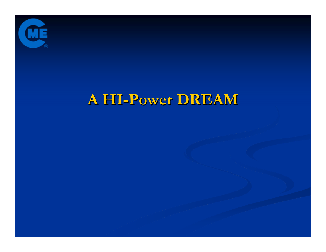

## **A HI-Power DREAM Power DREAM**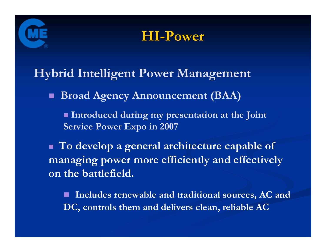



**Hybrid Intelligent Power Management**

**Broad Agency Announcement (BAA)**

 **Introduced during my presentation at the Joint Service Power Expo in 2007**

 **To develop a general architecture capable of managing power more efficiently and effectively on the battlefield.**

 **Includes renewable and traditional sources, AC and DC, controls them and delivers clean, reliable AC**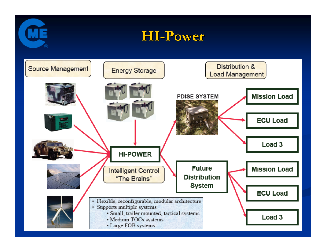



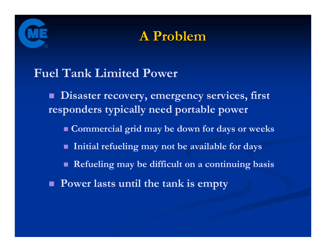



### **Fuel Tank Limited Power**

 **Disaster recovery, emergency services, first responders typically need portable power**

- **Commercial grid may be down for days or weeks**
- Е **Initial refueling may not be available for days**
- П **Refueling may be difficult on a continuing basis**
- **Power lasts until the tank is empty**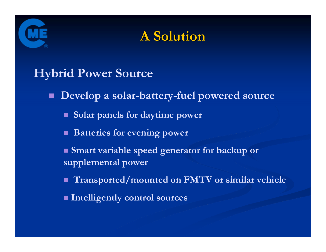



### **Hybrid Power Source**

**Develop a solar-battery-fuel powered source**

**Solar panels for daytime power**

**Batteries for evening power**

 **Smart variable speed generator for backup or supplemental power**

**Transported/mounted on FMTV or similar vehicle**

**Intelligently control sources**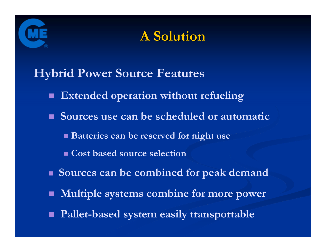



**Hybrid Power Source Features**

- **Extended operation without refueling**
- **Sources use can be scheduled or automatic**
	- **Batteries can be reserved for night use**
	- **Cost based source selection**
- **Sources can be combined for peak demand**
- П **Multiple systems combine for more power**
- **Pallet-based system easily transportable**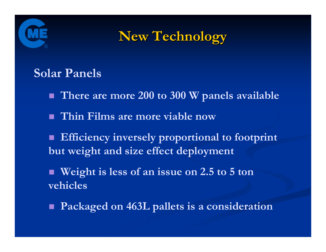



#### **Solar Panels**

- **There are more 200 to 300 W panels available**
- **Thin Films are more viable now**
- **Efficiency inversely proportional to footprint but weight and size effect deployment**
- **Weight is less of an issue on 2.5 to 5 ton vehicles**
- $\blacksquare$ **Packaged on 463L pallets is a consideration**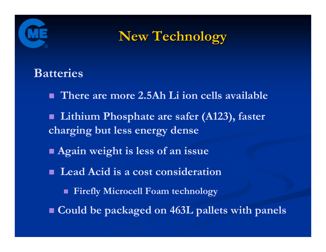



### **Batteries**

- **There are more 2.5Ah Li ion cells available**
- $\blacksquare$  **Lithium Phosphate are safer (A123), faster charging but less energy dense**
- **Again weight is less of an issue**
- **Lead Acid is a cost consideration**
	- **Firefly Microcell Foam technology**
- **Could be packaged on 463L pallets with panels**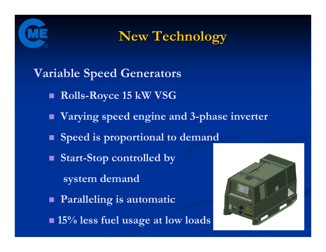



**Variable Speed Generators**

- **Rolls-Royce 15 kW VSG**
- **Varying speed engine and 3-phase inverter**
- **Speed is proportional to demand**
- **Start-Stop controlled by** 
	- **system demand**
- **Paralleling is automatic**
- **15% less fuel usage at low loads**

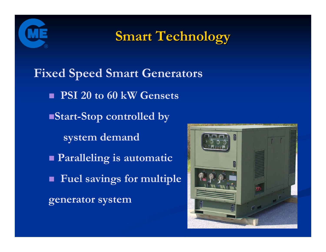

**Smart Technology Smart Technology**

**Fixed Speed Smart Generators PSI 20 to 60 kW Gensets Start-Stop controlled by system demand Paralleling is automatic Fuel savings for multiple generator system**

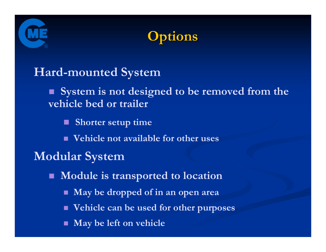



### **Hard-mounted System**

 **System is not designed to be removed from the vehicle bed or trailer**

**Shorter setup time**

**Vehicle not available for other uses**

### **Modular System**

П **Module is transported to location**

- П **May be dropped of in an open area**
- **Vehicle can be used for other purposes**
- F **May be left on vehicle**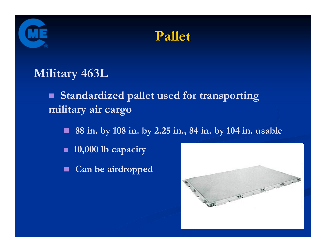



### **Military 463L**

 $\blacksquare$  **Standardized pallet used for transporting military air cargo** 

 $\blacksquare$ **88 in. by 108 in. by 2.25 in., 84 in. by 104 in. usable** 

- $\blacksquare$ **10,000 lb capacity**
- **Can be airdropped**

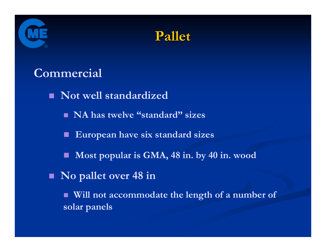



### **Commercial**

 **Not well standardized NA has twelve "standard" sizes** ш **European have six standard sizes** П **Most popular is GMA, 48 in. by 40 in. wood No pallet over 48 in** п **Will not accommodate the length of a number of solar panels**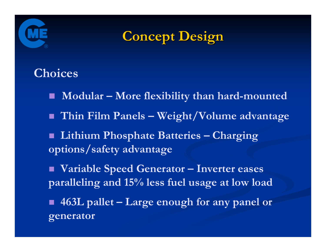



### **Choices**

- **Modular – More flexibility than hard-mounted**
- **Thin Film Panels – Weight/Volume advantage**
- **Lithium Phosphate Batteries – Charging options/safety advantage**
- $\blacksquare$  **Variable Speed Generator – Inverter eases paralleling and 15% less fuel usage at low load**
- **463L pallet – Large enough for any panel or generator**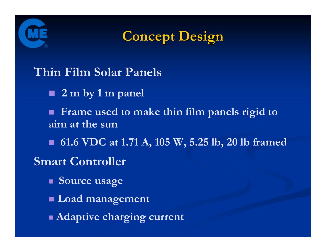



### **Thin Film Solar Panels**

- **2 m by 1 m panel**
- **Frame used to make thin film panels rigid to aim at the sun**
- **61.6 VDC at 1.71 A, 105 W, 5.25 lb, 20 lb framed**

### **Smart Controller**

- **Source usage**
- **Load management**
- **Adaptive charging current**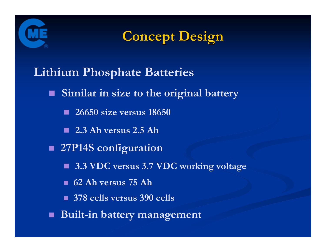

**Concept Design Concept Design**

**Lithium Phosphate Batteries**

**Similar in size to the original battery**

**26650 size versus 18650**

**2.3 Ah versus 2.5 Ah**

**27P14S configuration**

**3.3 VDC versus 3.7 VDC working voltage**

**62 Ah versus 75 Ah**

**378 cells versus 390 cells**

**Built-in battery management**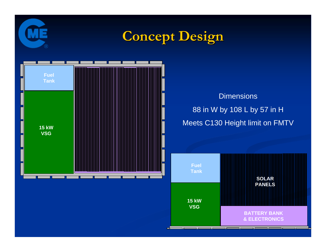

# **Concept Design Concept Design**



Dimensions 88 in W by 108 L by 57 in H Meets C130 Height limit on FMTV

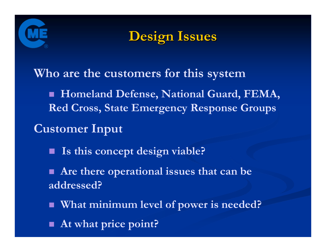



**Who are the customers for this system**

 **Homeland Defense, National Guard, FEMA, Red Cross, State Emergency Response Groups**

**Customer Input**

П **Is this concept design viable?**

 **Are there operational issues that can be addressed?**

- **What minimum level of power is needed?**
- **At what price point?**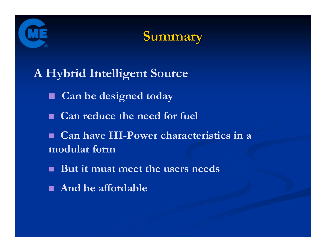



### **A Hybrid Intelligent Source**

- **Can be designed today**
- **Can reduce the need for fuel**
- **Can have HI-Power characteristics in a modular form**
- **But it must meet the users needs**
- **And be affordable**